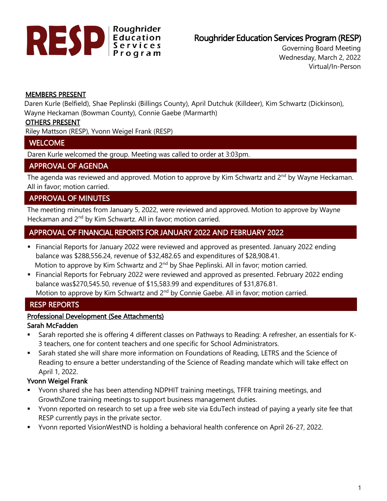

# Roughrider Education Services Program (RESP)

Governing Board Meeting Wednesday, March 2, 2022 Virtual/In-Person

#### MEMBERS PRESENT

Daren Kurle (Belfield), Shae Peplinski (Billings County), April Dutchuk (Killdeer), Kim Schwartz (Dickinson), Wayne Heckaman (Bowman County), Connie Gaebe (Marmarth)

#### OTHERS PRESENT

Riley Mattson (RESP), Yvonn Weigel Frank (RESP)

#### **WELCOME**

Daren Kurle welcomed the group. Meeting was called to order at 3:03pm.

## APPROVAL OF AGENDA

The agenda was reviewed and approved. Motion to approve by Kim Schwartz and 2<sup>nd</sup> by Wayne Heckaman. All in favor; motion carried.

# APPROVAL OF MINUTES

The meeting minutes from January 5, 2022, were reviewed and approved. Motion to approve by Wayne Heckaman and 2<sup>nd</sup> by Kim Schwartz. All in favor; motion carried.

# APPROVAL OF FINANCIAL REPORTS FOR JANUARY 2022 AND FEBRUARY 2022

- Financial Reports for January 2022 were reviewed and approved as presented. January 2022 ending balance was \$288,556.24, revenue of \$32,482.65 and expenditures of \$28,908.41. Motion to approve by Kim Schwartz and  $2<sup>nd</sup>$  by Shae Peplinski. All in favor; motion carried.
- Financial Reports for February 2022 were reviewed and approved as presented. February 2022 ending balance was\$270,545.50, revenue of \$15,583.99 and expenditures of \$31,876.81. Motion to approve by Kim Schwartz and  $2<sup>nd</sup>$  by Connie Gaebe. All in favor; motion carried.

# RESP REPORTS

## Professional Development (See Attachments)

#### Sarah McFadden

- Sarah reported she is offering 4 different classes on Pathways to Reading: A refresher, an essentials for K-3 teachers, one for content teachers and one specific for School Administrators.
- **Example 3 Sarah stated she will share more information on Foundations of Reading, LETRS and the Science of** Reading to ensure a better understanding of the Science of Reading mandate which will take effect on April 1, 2022.

## Yvonn Weigel Frank

- Yvonn shared she has been attending NDPHIT training meetings, TFFR training meetings, and GrowthZone training meetings to support business management duties.
- Yvonn reported on research to set up a free web site via EduTech instead of paying a yearly site fee that RESP currently pays in the private sector.
- Yvonn reported VisionWestND is holding a behavioral health conference on April 26-27, 2022.